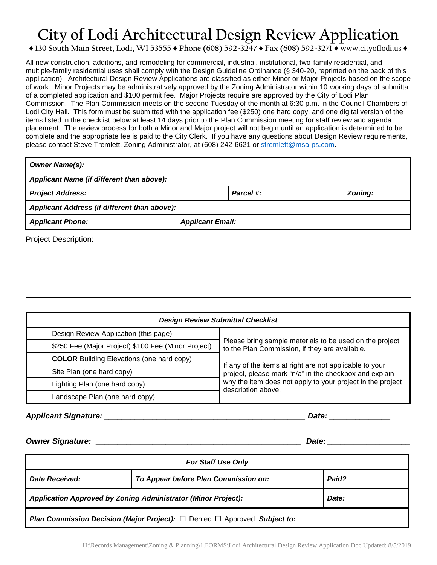## **City of Lodi Architectural Design Review Application**

## **♦ 130 South Main Street, Lodi, WI 53555 ♦ Phone (608) 592-3247 ♦ Fax (608) 592-3271 ♦** www.cityoflodi.us **♦**

All new construction, additions, and remodeling for commercial, industrial, institutional, two-family residential, and multiple-family residential uses shall comply with the Design Guideline Ordinance (§ 340-20, reprinted on the back of this application). Architectural Design Review Applications are classified as either Minor or Major Projects based on the scope of work. Minor Projects may be administratively approved by the Zoning Administrator within 10 working days of submittal of a completed application and \$100 permit fee. Major Projects require are approved by the City of Lodi Plan Commission. The Plan Commission meets on the second Tuesday of the month at 6:30 p.m. in the Council Chambers of Lodi City Hall. This form must be submitted with the application fee (\$250) one hard copy, and one digital version of the items listed in the checklist below at least 14 days prior to the Plan Commission meeting for staff review and agenda placement. The review process for both a Minor and Major project will not begin until an application is determined to be complete and the appropriate fee is paid to the City Clerk. If you have any questions about Design Review requirements, please contact Steve Tremlett, Zoning Administrator, at (608) 242-6621 or [stremlett@msa-ps.com.](mailto:stremlett@msa-ps.com)

| <b>Owner Name(s):</b>                        |                         |         |  |  |  |
|----------------------------------------------|-------------------------|---------|--|--|--|
| Applicant Name (if different than above):    |                         |         |  |  |  |
| <b>Project Address:</b>                      | Parcel #:               | Zoning: |  |  |  |
| Applicant Address (if different than above): |                         |         |  |  |  |
| <b>Applicant Phone:</b>                      | <b>Applicant Email:</b> |         |  |  |  |
| <b>Project Description:</b>                  |                         |         |  |  |  |

| <b>Design Review Submittal Checklist</b>                   |  |                                                                                                                   |  |  |
|------------------------------------------------------------|--|-------------------------------------------------------------------------------------------------------------------|--|--|
| Design Review Application (this page)                      |  |                                                                                                                   |  |  |
| \$250 Fee (Major Project) \$100 Fee (Minor Project)        |  | Please bring sample materials to be used on the project<br>to the Plan Commission, if they are available.         |  |  |
| <b>COLOR</b> Building Elevations (one hard copy)           |  |                                                                                                                   |  |  |
| Site Plan (one hard copy)<br>Lighting Plan (one hard copy) |  | If any of the items at right are not applicable to your<br>project, please mark "n/a" in the checkbox and explain |  |  |
|                                                            |  | why the item does not apply to your project in the project<br>description above.                                  |  |  |
| Landscape Plan (one hard copy)                             |  |                                                                                                                   |  |  |

*Applicant Signature: \_\_\_\_\_\_\_\_\_\_\_\_\_\_\_\_\_\_\_\_\_\_\_\_\_\_\_\_\_\_\_\_\_\_\_\_\_\_\_\_\_\_\_\_\_\_ Date: \_\_\_\_\_\_\_\_\_\_\_\_\_\_*

*Owner Signature: \_\_\_\_\_\_\_\_\_\_\_\_\_\_\_\_\_\_\_\_\_\_\_\_\_\_\_\_\_\_\_\_\_\_\_\_\_\_\_\_\_\_\_\_\_\_\_ Date: \_\_\_\_\_\_\_\_\_\_\_\_\_\_\_\_\_\_\_*

| <b>For Staff Use Only</b>                                                                  |                                      |       |  |  |
|--------------------------------------------------------------------------------------------|--------------------------------------|-------|--|--|
| Date Received:                                                                             | To Appear before Plan Commission on: | Paid? |  |  |
| <b>Application Approved by Zoning Administrator (Minor Project):</b>                       |                                      | Date: |  |  |
| <b>Plan Commission Decision (Major Project):</b> $\Box$ Denied $\Box$ Approved Subject to: |                                      |       |  |  |